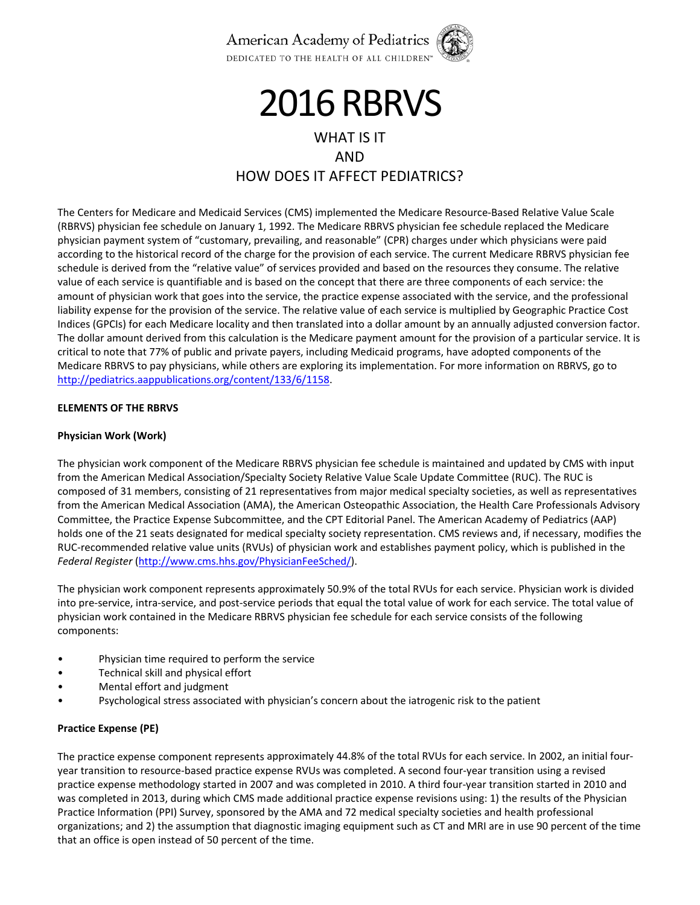

# **2016 RBRVS**

# WHAT IS IT AND HOW DOES IT AFFECT PEDIATRICS?

The Centers for Medicare and Medicaid Services (CMS) implemented the Medicare Resource‐Based Relative Value Scale (RBRVS) physician fee schedule on January 1, 1992. The Medicare RBRVS physician fee schedule replaced the Medicare physician payment system of "customary, prevailing, and reasonable" (CPR) charges under which physicians were paid according to the historical record of the charge for the provision of each service. The current Medicare RBRVS physician fee schedule is derived from the "relative value" of services provided and based on the resources they consume. The relative value of each service is quantifiable and is based on the concept that there are three components of each service: the amount of physician work that goes into the service, the practice expense associated with the service, and the professional liability expense for the provision of the service. The relative value of each service is multiplied by Geographic Practice Cost Indices (GPCIs) for each Medicare locality and then translated into a dollar amount by an annually adjusted conversion factor. The dollar amount derived from this calculation is the Medicare payment amount for the provision of a particular service. It is critical to note that 77% of public and private payers, including Medicaid programs, have adopted components of the Medicare RBRVS to pay physicians, while others are exploring its implementation. For more information on RBRVS, go to http://pediatrics.aappublications.org/content/133/6/1158.

### **ELEMENTS OF THE RBRVS**

### **Physician Work (Work)**

The physician work component of the Medicare RBRVS physician fee schedule is maintained and updated by CMS with input from the American Medical Association/Specialty Society Relative Value Scale Update Committee (RUC). The RUC is composed of 31 members, consisting of 21 representatives from major medical specialty societies, as well as representatives from the American Medical Association (AMA), the American Osteopathic Association, the Health Care Professionals Advisory Committee, the Practice Expense Subcommittee, and the CPT Editorial Panel. The American Academy of Pediatrics (AAP) holds one of the 21 seats designated for medical specialty society representation. CMS reviews and, if necessary, modifies the RUC‐recommended relative value units (RVUs) of physician work and establishes payment policy, which is published in the *Federal Register* (http://www.cms.hhs.gov/PhysicianFeeSched/).

The physician work component represents approximately 50.9% of the total RVUs for each service. Physician work is divided into pre-service, intra-service, and post-service periods that equal the total value of work for each service. The total value of physician work contained in the Medicare RBRVS physician fee schedule for each service consists of the following components:

- Physician time required to perform the service
- Technical skill and physical effort
- Mental effort and judgment
- Psychological stress associated with physician's concern about the iatrogenic risk to the patient

# **Practice Expense (PE)**

The practice expense component represents approximately 44.8% of the total RVUs for each service. In 2002, an initial four‐ year transition to resource‐based practice expense RVUs was completed. A second four‐year transition using a revised practice expense methodology started in 2007 and was completed in 2010. A third four-year transition started in 2010 and was completed in 2013, during which CMS made additional practice expense revisions using: 1) the results of the Physician Practice Information (PPI) Survey, sponsored by the AMA and 72 medical specialty societies and health professional organizations; and 2) the assumption that diagnostic imaging equipment such as CT and MRI are in use 90 percent of the time that an office is open instead of 50 percent of the time.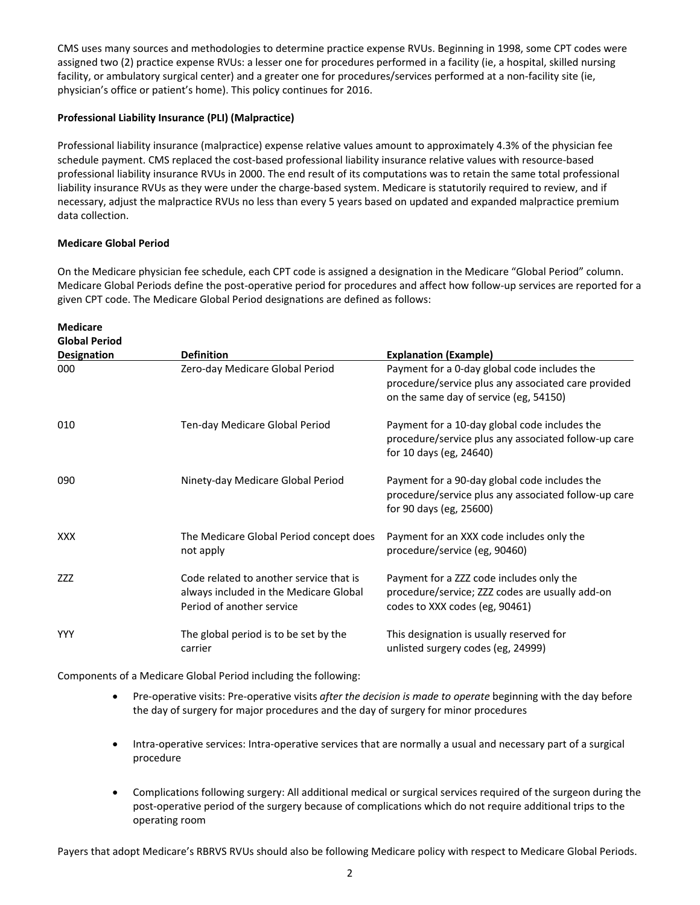CMS uses many sources and methodologies to determine practice expense RVUs. Beginning in 1998, some CPT codes were assigned two (2) practice expense RVUs: a lesser one for procedures performed in a facility (ie, a hospital, skilled nursing facility, or ambulatory surgical center) and a greater one for procedures/services performed at a non-facility site (ie, physician's office or patient's home). This policy continues for 2016.

# **Professional Liability Insurance (PLI) (Malpractice)**

Professional liability insurance (malpractice) expense relative values amount to approximately 4.3% of the physician fee schedule payment. CMS replaced the cost‐based professional liability insurance relative values with resource‐based professional liability insurance RVUs in 2000. The end result of its computations was to retain the same total professional liability insurance RVUs as they were under the charge‐based system. Medicare is statutorily required to review, and if necessary, adjust the malpractice RVUs no less than every 5 years based on updated and expanded malpractice premium data collection.

# **Medicare Global Period**

On the Medicare physician fee schedule, each CPT code is assigned a designation in the Medicare "Global Period" column. Medicare Global Periods define the post‐operative period for procedures and affect how follow‐up services are reported for a given CPT code. The Medicare Global Period designations are defined as follows:

| <b>Medicare</b><br><b>Global Period</b> |                                                                                                                |                                                                                                                                               |
|-----------------------------------------|----------------------------------------------------------------------------------------------------------------|-----------------------------------------------------------------------------------------------------------------------------------------------|
| <b>Designation</b>                      | <b>Definition</b>                                                                                              | <b>Explanation (Example)</b>                                                                                                                  |
| 000                                     | Zero-day Medicare Global Period                                                                                | Payment for a 0-day global code includes the<br>procedure/service plus any associated care provided<br>on the same day of service (eg, 54150) |
| 010                                     | Ten-day Medicare Global Period                                                                                 | Payment for a 10-day global code includes the<br>procedure/service plus any associated follow-up care<br>for 10 days (eg, 24640)              |
| 090                                     | Ninety-day Medicare Global Period                                                                              | Payment for a 90-day global code includes the<br>procedure/service plus any associated follow-up care<br>for 90 days (eg, 25600)              |
| <b>XXX</b>                              | The Medicare Global Period concept does<br>not apply                                                           | Payment for an XXX code includes only the<br>procedure/service (eg, 90460)                                                                    |
| <b>ZZZ</b>                              | Code related to another service that is<br>always included in the Medicare Global<br>Period of another service | Payment for a ZZZ code includes only the<br>procedure/service; ZZZ codes are usually add-on<br>codes to XXX codes (eg, 90461)                 |
| <b>YYY</b>                              | The global period is to be set by the<br>carrier                                                               | This designation is usually reserved for<br>unlisted surgery codes (eg, 24999)                                                                |

Components of a Medicare Global Period including the following:

- Pre‐operative visits: Pre‐operative visits *after the decision is made to operate* beginning with the day before the day of surgery for major procedures and the day of surgery for minor procedures
- Intra-operative services: Intra-operative services that are normally a usual and necessary part of a surgical procedure
- Complications following surgery: All additional medical or surgical services required of the surgeon during the post‐operative period of the surgery because of complications which do not require additional trips to the operating room

Payers that adopt Medicare's RBRVS RVUs should also be following Medicare policy with respect to Medicare Global Periods.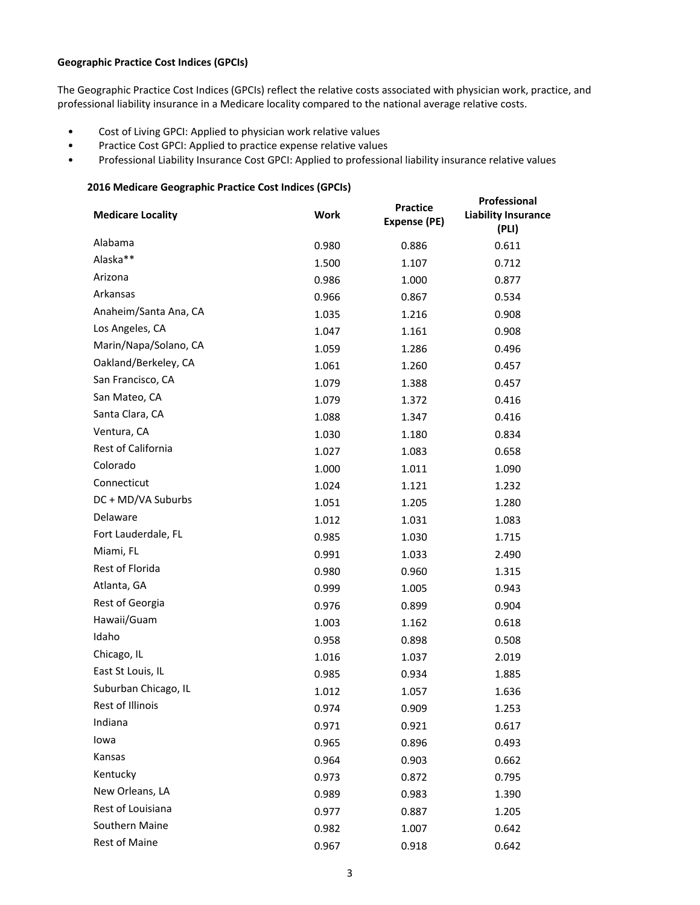# **Geographic Practice Cost Indices (GPCIs)**

The Geographic Practice Cost Indices (GPCIs) reflect the relative costs associated with physician work, practice, and professional liability insurance in a Medicare locality compared to the national average relative costs.

- Cost of Living GPCI: Applied to physician work relative values
- Practice Cost GPCI: Applied to practice expense relative values
- Professional Liability Insurance Cost GPCI: Applied to professional liability insurance relative values

#### **2016 Medicare Geographic Practice Cost Indices (GPCIs)**

| <b>Medicare Locality</b> | <b>Work</b> | <b>Practice</b><br>Expense (PE) | Professional<br><b>Liability Insurance</b><br>(PLI) |
|--------------------------|-------------|---------------------------------|-----------------------------------------------------|
| Alabama                  | 0.980       | 0.886                           | 0.611                                               |
| Alaska**                 | 1.500       | 1.107                           | 0.712                                               |
| Arizona                  | 0.986       | 1.000                           | 0.877                                               |
| Arkansas                 | 0.966       | 0.867                           | 0.534                                               |
| Anaheim/Santa Ana, CA    | 1.035       | 1.216                           | 0.908                                               |
| Los Angeles, CA          | 1.047       | 1.161                           | 0.908                                               |
| Marin/Napa/Solano, CA    | 1.059       | 1.286                           | 0.496                                               |
| Oakland/Berkeley, CA     | 1.061       | 1.260                           | 0.457                                               |
| San Francisco, CA        | 1.079       | 1.388                           | 0.457                                               |
| San Mateo, CA            | 1.079       | 1.372                           | 0.416                                               |
| Santa Clara, CA          | 1.088       | 1.347                           | 0.416                                               |
| Ventura, CA              | 1.030       | 1.180                           | 0.834                                               |
| Rest of California       | 1.027       | 1.083                           | 0.658                                               |
| Colorado                 | 1.000       | 1.011                           | 1.090                                               |
| Connecticut              | 1.024       | 1.121                           | 1.232                                               |
| DC + MD/VA Suburbs       | 1.051       | 1.205                           | 1.280                                               |
| Delaware                 | 1.012       | 1.031                           | 1.083                                               |
| Fort Lauderdale, FL      | 0.985       | 1.030                           | 1.715                                               |
| Miami, FL                | 0.991       | 1.033                           | 2.490                                               |
| Rest of Florida          | 0.980       | 0.960                           | 1.315                                               |
| Atlanta, GA              | 0.999       | 1.005                           | 0.943                                               |
| Rest of Georgia          | 0.976       | 0.899                           | 0.904                                               |
| Hawaii/Guam              | 1.003       | 1.162                           | 0.618                                               |
| Idaho                    | 0.958       | 0.898                           | 0.508                                               |
| Chicago, IL              | 1.016       | 1.037                           | 2.019                                               |
| East St Louis, IL        | 0.985       | 0.934                           | 1.885                                               |
| Suburban Chicago, IL     | 1.012       | 1.057                           | 1.636                                               |
| Rest of Illinois         | 0.974       | 0.909                           | 1.253                                               |
| Indiana                  | 0.971       | 0.921                           | 0.617                                               |
| lowa                     | 0.965       | 0.896                           | 0.493                                               |
| Kansas                   | 0.964       | 0.903                           | 0.662                                               |
| Kentucky                 | 0.973       | 0.872                           | 0.795                                               |
| New Orleans, LA          | 0.989       | 0.983                           | 1.390                                               |
| Rest of Louisiana        | 0.977       | 0.887                           | 1.205                                               |
| Southern Maine           | 0.982       | 1.007                           | 0.642                                               |
| <b>Rest of Maine</b>     | 0.967       | 0.918                           | 0.642                                               |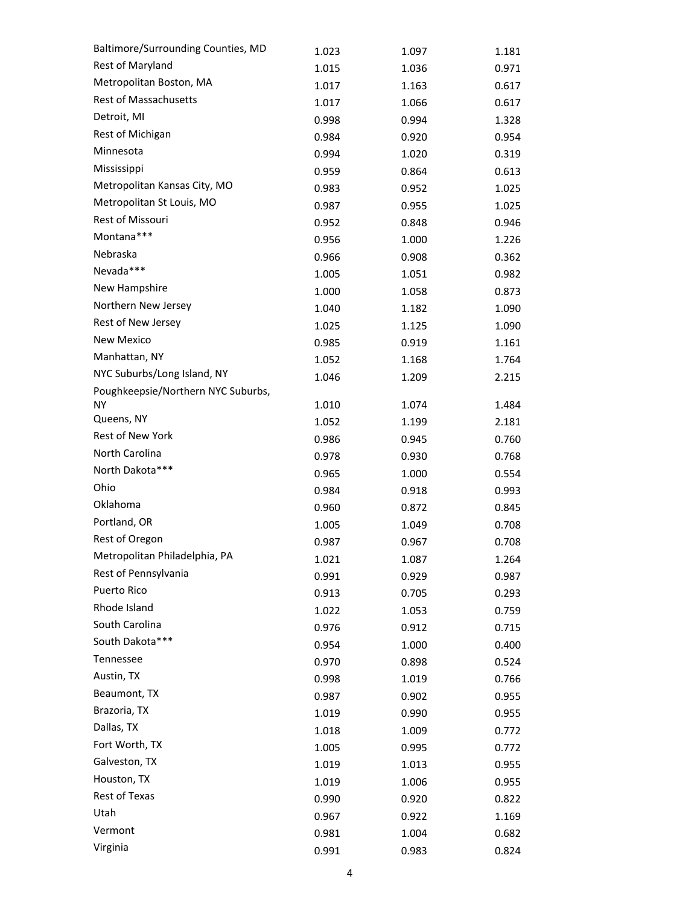| Baltimore/Surrounding Counties, MD | 1.023 | 1.097 | 1.181 |
|------------------------------------|-------|-------|-------|
| Rest of Maryland                   | 1.015 | 1.036 | 0.971 |
| Metropolitan Boston, MA            | 1.017 | 1.163 | 0.617 |
| <b>Rest of Massachusetts</b>       | 1.017 | 1.066 | 0.617 |
| Detroit, MI                        | 0.998 | 0.994 | 1.328 |
| Rest of Michigan                   | 0.984 | 0.920 | 0.954 |
| Minnesota                          | 0.994 | 1.020 | 0.319 |
| Mississippi                        | 0.959 | 0.864 | 0.613 |
| Metropolitan Kansas City, MO       | 0.983 | 0.952 | 1.025 |
| Metropolitan St Louis, MO          | 0.987 | 0.955 | 1.025 |
| Rest of Missouri                   | 0.952 | 0.848 | 0.946 |
| Montana***                         | 0.956 | 1.000 | 1.226 |
| Nebraska                           | 0.966 | 0.908 | 0.362 |
| Nevada***                          | 1.005 | 1.051 | 0.982 |
| New Hampshire                      | 1.000 | 1.058 | 0.873 |
| Northern New Jersey                | 1.040 | 1.182 | 1.090 |
| Rest of New Jersey                 | 1.025 | 1.125 | 1.090 |
| New Mexico                         | 0.985 | 0.919 | 1.161 |
| Manhattan, NY                      | 1.052 | 1.168 | 1.764 |
| NYC Suburbs/Long Island, NY        | 1.046 | 1.209 | 2.215 |
| Poughkeepsie/Northern NYC Suburbs, |       |       |       |
| ΝY                                 | 1.010 | 1.074 | 1.484 |
| Queens, NY                         | 1.052 | 1.199 | 2.181 |
| Rest of New York                   | 0.986 | 0.945 | 0.760 |
| North Carolina                     | 0.978 | 0.930 | 0.768 |
| North Dakota***                    | 0.965 | 1.000 | 0.554 |
| Ohio                               | 0.984 | 0.918 | 0.993 |
| Oklahoma                           | 0.960 | 0.872 | 0.845 |
| Portland, OR                       | 1.005 | 1.049 | 0.708 |
| Rest of Oregon                     | 0.987 | 0.967 | 0.708 |
| Metropolitan Philadelphia, PA      | 1.021 | 1.087 | 1.264 |
| Rest of Pennsylvania               | 0.991 | 0.929 | 0.987 |
| Puerto Rico                        | 0.913 | 0.705 | 0.293 |
| Rhode Island                       | 1.022 | 1.053 | 0.759 |
| South Carolina                     | 0.976 | 0.912 | 0.715 |
| South Dakota***                    | 0.954 | 1.000 | 0.400 |
| Tennessee                          | 0.970 | 0.898 | 0.524 |
| Austin, TX                         | 0.998 | 1.019 | 0.766 |
| Beaumont, TX                       | 0.987 | 0.902 | 0.955 |
| Brazoria, TX                       | 1.019 | 0.990 | 0.955 |
| Dallas, TX                         | 1.018 | 1.009 | 0.772 |
| Fort Worth, TX                     | 1.005 | 0.995 | 0.772 |
| Galveston, TX                      | 1.019 | 1.013 | 0.955 |
| Houston, TX                        | 1.019 | 1.006 | 0.955 |
| Rest of Texas                      | 0.990 | 0.920 | 0.822 |
| Utah                               | 0.967 | 0.922 | 1.169 |
| Vermont                            | 0.981 | 1.004 | 0.682 |
| Virginia                           | 0.991 | 0.983 | 0.824 |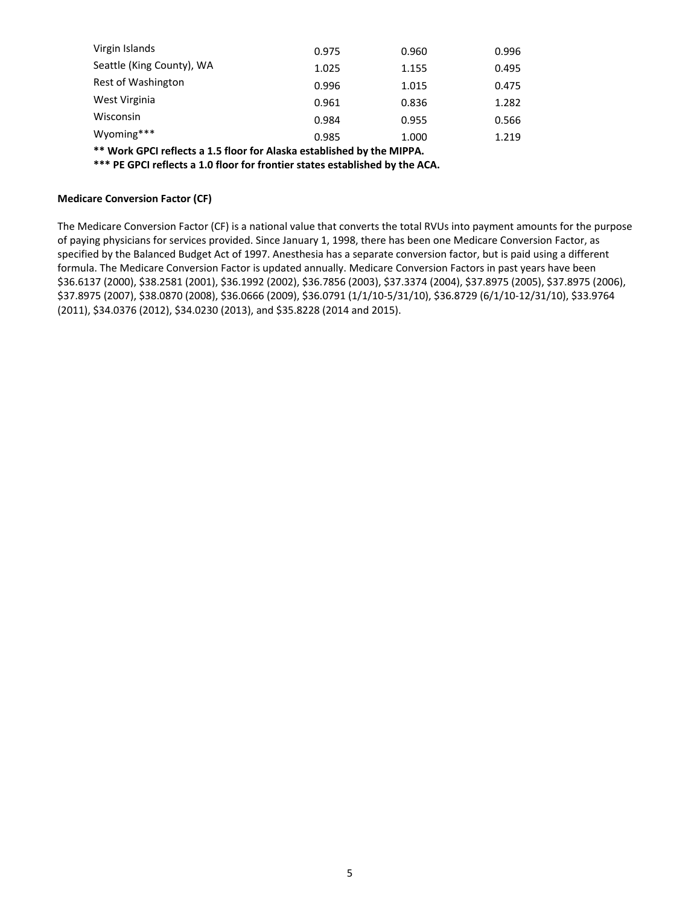| Virgin Islands                                                                       | 0.975 | 0.960 | 0.996 |  |  |  |  |
|--------------------------------------------------------------------------------------|-------|-------|-------|--|--|--|--|
| Seattle (King County), WA                                                            | 1.025 | 1.155 | 0.495 |  |  |  |  |
| Rest of Washington                                                                   | 0.996 | 1.015 | 0.475 |  |  |  |  |
| West Virginia                                                                        | 0.961 | 0.836 | 1.282 |  |  |  |  |
| Wisconsin                                                                            | 0.984 | 0.955 | 0.566 |  |  |  |  |
| Wyoming***                                                                           | 0.985 | 1.000 | 1.219 |  |  |  |  |
| $\pm\pm$ (at all CDC) and a set of FR see from the set of the best books and control |       |       |       |  |  |  |  |

**\*\* Work GPCI reflects a 1.5 floor for Alaska established by the MIPPA.**

**\*\*\* PE GPCI reflects a 1.0 floor for frontier states established by the ACA.**

#### **Medicare Conversion Factor (CF)**

The Medicare Conversion Factor (CF) is a national value that converts the total RVUs into payment amounts for the purpose of paying physicians for services provided. Since January 1, 1998, there has been one Medicare Conversion Factor, as specified by the Balanced Budget Act of 1997. Anesthesia has a separate conversion factor, but is paid using a different formula. The Medicare Conversion Factor is updated annually. Medicare Conversion Factors in past years have been \$36.6137 (2000), \$38.2581 (2001), \$36.1992 (2002), \$36.7856 (2003), \$37.3374 (2004), \$37.8975 (2005), \$37.8975 (2006), \$37.8975 (2007), \$38.0870 (2008), \$36.0666 (2009), \$36.0791 (1/1/10‐5/31/10), \$36.8729 (6/1/10‐12/31/10), \$33.9764 (2011), \$34.0376 (2012), \$34.0230 (2013), and \$35.8228 (2014 and 2015).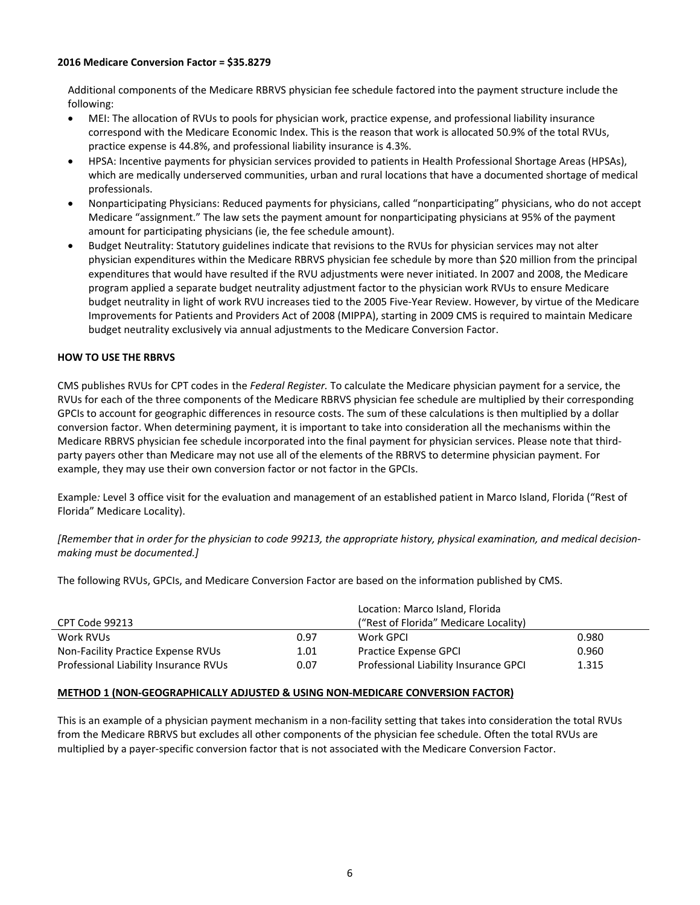#### **2016 Medicare Conversion Factor = \$35.8279**

Additional components of the Medicare RBRVS physician fee schedule factored into the payment structure include the following:

- MEI: The allocation of RVUs to pools for physician work, practice expense, and professional liability insurance correspond with the Medicare Economic Index. This is the reason that work is allocated 50.9% of the total RVUs, practice expense is 44.8%, and professional liability insurance is 4.3%.
- HPSA: Incentive payments for physician services provided to patients in Health Professional Shortage Areas (HPSAs), which are medically underserved communities, urban and rural locations that have a documented shortage of medical professionals.
- Nonparticipating Physicians: Reduced payments for physicians, called "nonparticipating" physicians, who do not accept Medicare "assignment." The law sets the payment amount for nonparticipating physicians at 95% of the payment amount for participating physicians (ie, the fee schedule amount).
- Budget Neutrality: Statutory guidelines indicate that revisions to the RVUs for physician services may not alter physician expenditures within the Medicare RBRVS physician fee schedule by more than \$20 million from the principal expenditures that would have resulted if the RVU adjustments were never initiated. In 2007 and 2008, the Medicare program applied a separate budget neutrality adjustment factor to the physician work RVUs to ensure Medicare budget neutrality in light of work RVU increases tied to the 2005 Five‐Year Review. However, by virtue of the Medicare Improvements for Patients and Providers Act of 2008 (MIPPA), starting in 2009 CMS is required to maintain Medicare budget neutrality exclusively via annual adjustments to the Medicare Conversion Factor.

### **HOW TO USE THE RBRVS**

CMS publishes RVUs for CPT codes in the *Federal Register.* To calculate the Medicare physician payment for a service, the RVUs for each of the three components of the Medicare RBRVS physician fee schedule are multiplied by their corresponding GPCIs to account for geographic differences in resource costs. The sum of these calculations is then multiplied by a dollar conversion factor. When determining payment, it is important to take into consideration all the mechanisms within the Medicare RBRVS physician fee schedule incorporated into the final payment for physician services. Please note that third‐ party payers other than Medicare may not use all of the elements of the RBRVS to determine physician payment. For example, they may use their own conversion factor or not factor in the GPCIs.

Example*:* Level 3 office visit for the evaluation and management of an established patient in Marco Island, Florida ("Rest of Florida" Medicare Locality).

[Remember that in order for the physician to code 99213, the appropriate history, physical examination, and medical decision*making must be documented.]*

The following RVUs, GPCIs, and Medicare Conversion Factor are based on the information published by CMS.

|                                       |      | Location: Marco Island, Florida       |       |
|---------------------------------------|------|---------------------------------------|-------|
| CPT Code 99213                        |      | ("Rest of Florida" Medicare Locality) |       |
| Work RVUs                             | 0.97 | Work GPCL                             | 0.980 |
| Non-Facility Practice Expense RVUs    | 1.01 | Practice Expense GPCI                 | 0.960 |
| Professional Liability Insurance RVUs | 0.07 | Professional Liability Insurance GPCI | 1.315 |

### **METHOD 1 (NON‐GEOGRAPHICALLY ADJUSTED & USING NON‐MEDICARE CONVERSION FACTOR)**

This is an example of a physician payment mechanism in a non‐facility setting that takes into consideration the total RVUs from the Medicare RBRVS but excludes all other components of the physician fee schedule. Often the total RVUs are multiplied by a payer‐specific conversion factor that is not associated with the Medicare Conversion Factor.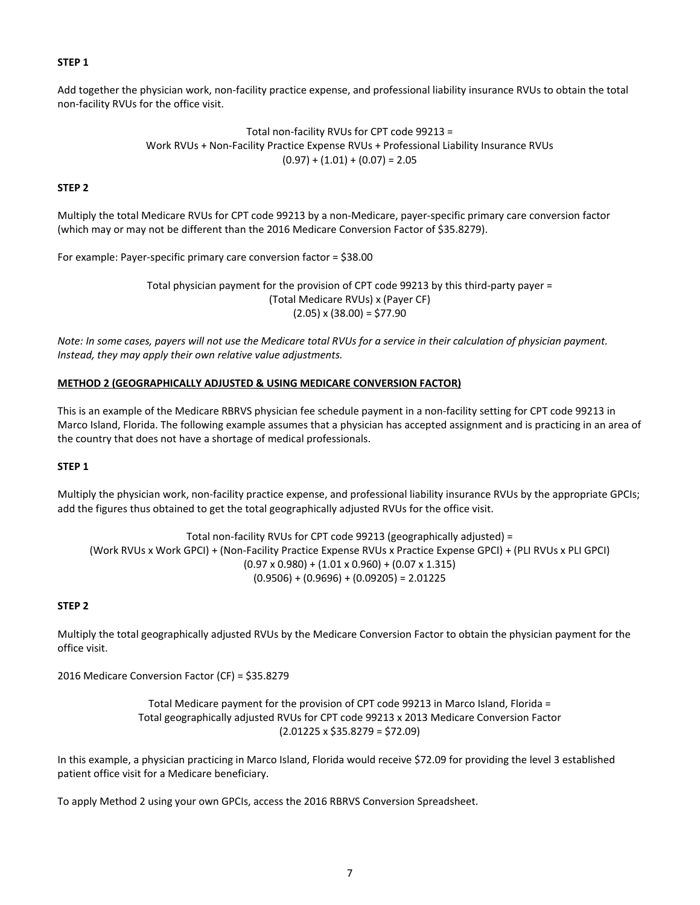#### **STEP 1**

Add together the physician work, non‐facility practice expense, and professional liability insurance RVUs to obtain the total non‐facility RVUs for the office visit.

> Total non‐facility RVUs for CPT code 99213 = Work RVUs + Non‐Facility Practice Expense RVUs + Professional Liability Insurance RVUs  $(0.97) + (1.01) + (0.07) = 2.05$

### **STEP 2**

Multiply the total Medicare RVUs for CPT code 99213 by a non‐Medicare, payer‐specific primary care conversion factor (which may or may not be different than the 2016 Medicare Conversion Factor of \$35.8279).

For example: Payer‐specific primary care conversion factor = \$38.00

Total physician payment for the provision of CPT code 99213 by this third‐party payer = (Total Medicare RVUs) x (Payer CF)  $(2.05)$  x  $(38.00)$  = \$77.90

Note: In some cases, payers will not use the Medicare total RVUs for a service in their calculation of physician payment. *Instead, they may apply their own relative value adjustments.*

### **METHOD 2 (GEOGRAPHICALLY ADJUSTED & USING MEDICARE CONVERSION FACTOR)**

This is an example of the Medicare RBRVS physician fee schedule payment in a non‐facility setting for CPT code 99213 in Marco Island, Florida. The following example assumes that a physician has accepted assignment and is practicing in an area of the country that does not have a shortage of medical professionals.

#### **STEP 1**

Multiply the physician work, non‐facility practice expense, and professional liability insurance RVUs by the appropriate GPCIs; add the figures thus obtained to get the total geographically adjusted RVUs for the office visit.

Total non‐facility RVUs for CPT code 99213 (geographically adjusted) = (Work RVUs x Work GPCI) + (Non‐Facility Practice Expense RVUs x Practice Expense GPCI) + (PLI RVUs x PLI GPCI)  $(0.97 \times 0.980) + (1.01 \times 0.960) + (0.07 \times 1.315)$  $(0.9506) + (0.9696) + (0.09205) = 2.01225$ 

### **STEP 2**

Multiply the total geographically adjusted RVUs by the Medicare Conversion Factor to obtain the physician payment for the office visit.

2016 Medicare Conversion Factor (CF) = \$35.8279

Total Medicare payment for the provision of CPT code 99213 in Marco Island, Florida = Total geographically adjusted RVUs for CPT code 99213 x 2013 Medicare Conversion Factor  $(2.01225 \times $35.8279 = $72.09)$ 

In this example, a physician practicing in Marco Island, Florida would receive \$72.09 for providing the level 3 established patient office visit for a Medicare beneficiary.

To apply Method 2 using your own GPCIs, access the 2016 RBRVS Conversion Spreadsheet.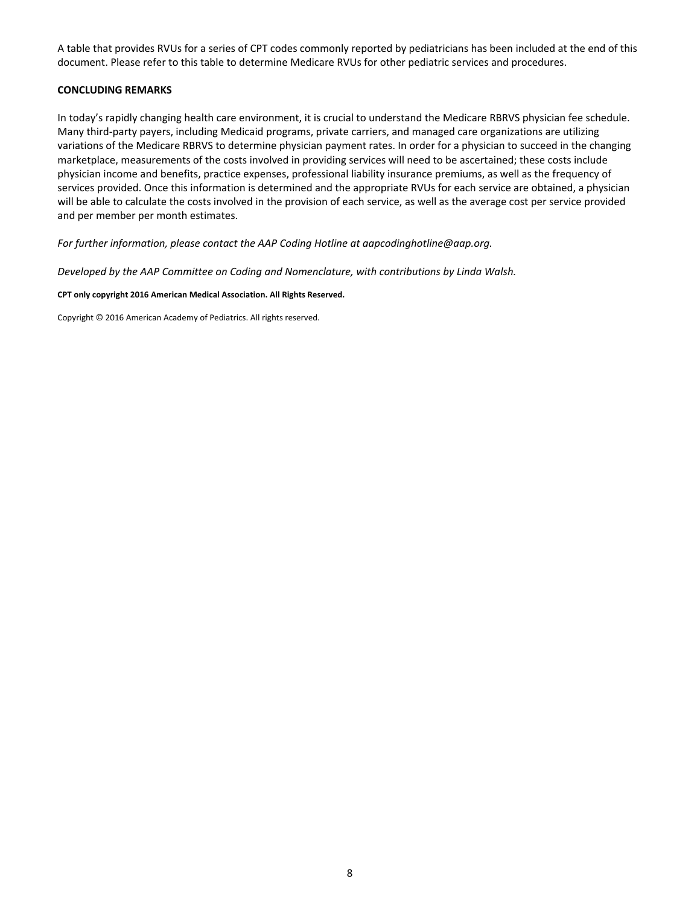A table that provides RVUs for a series of CPT codes commonly reported by pediatricians has been included at the end of this document. Please refer to this table to determine Medicare RVUs for other pediatric services and procedures.

#### **CONCLUDING REMARKS**

In today's rapidly changing health care environment, it is crucial to understand the Medicare RBRVS physician fee schedule. Many third‐party payers, including Medicaid programs, private carriers, and managed care organizations are utilizing variations of the Medicare RBRVS to determine physician payment rates. In order for a physician to succeed in the changing marketplace, measurements of the costs involved in providing services will need to be ascertained; these costs include physician income and benefits, practice expenses, professional liability insurance premiums, as well as the frequency of services provided. Once this information is determined and the appropriate RVUs for each service are obtained, a physician will be able to calculate the costs involved in the provision of each service, as well as the average cost per service provided and per member per month estimates.

*For further information, please contact the AAP Coding Hotline at aapcodinghotline@aap.org.*

*Developed by the AAP Committee on Coding and Nomenclature, with contributions by Linda Walsh.*

#### **CPT only copyright 2016 American Medical Association. All Rights Reserved.**

Copyright © 2016 American Academy of Pediatrics. All rights reserved.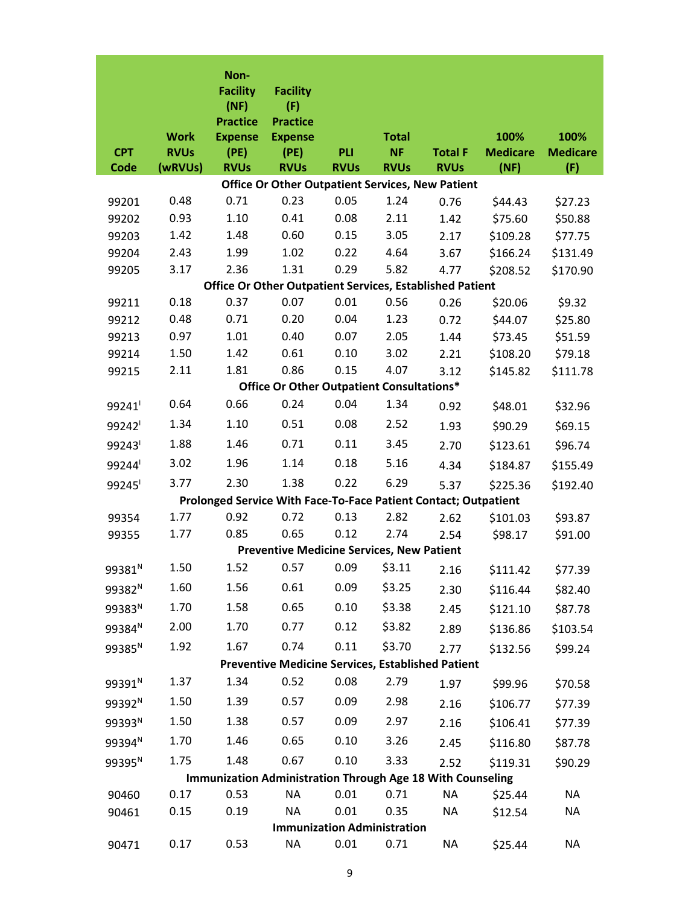|                    | <b>Work</b>            | Non-<br><b>Facility</b><br>(NF)<br><b>Practice</b><br><b>Expense</b> | <b>Facility</b><br>(F)<br><b>Practice</b><br><b>Expense</b>       |                    | <b>Total</b>                       |                               | 100%                    | 100%                   |
|--------------------|------------------------|----------------------------------------------------------------------|-------------------------------------------------------------------|--------------------|------------------------------------|-------------------------------|-------------------------|------------------------|
| <b>CPT</b><br>Code | <b>RVUs</b><br>(wRVUs) | (PE)<br><b>RVUs</b>                                                  | (PE)<br><b>RVUs</b>                                               | PLI<br><b>RVUs</b> | <b>NF</b><br><b>RVUs</b>           | <b>Total F</b><br><b>RVUs</b> | <b>Medicare</b><br>(NF) | <b>Medicare</b><br>(F) |
|                    |                        |                                                                      | <b>Office Or Other Outpatient Services, New Patient</b>           |                    |                                    |                               |                         |                        |
| 99201              | 0.48                   | 0.71                                                                 | 0.23                                                              | 0.05               | 1.24                               | 0.76                          | \$44.43                 | \$27.23                |
| 99202              | 0.93                   | 1.10                                                                 | 0.41                                                              | 0.08               | 2.11                               | 1.42                          | \$75.60                 | \$50.88                |
| 99203              | 1.42                   | 1.48                                                                 | 0.60                                                              | 0.15               | 3.05                               | 2.17                          | \$109.28                | \$77.75                |
| 99204              | 2.43                   | 1.99                                                                 | 1.02                                                              | 0.22               | 4.64                               | 3.67                          | \$166.24                | \$131.49               |
| 99205              | 3.17                   | 2.36                                                                 | 1.31                                                              | 0.29               | 5.82                               | 4.77                          | \$208.52                | \$170.90               |
|                    |                        |                                                                      | <b>Office Or Other Outpatient Services, Established Patient</b>   |                    |                                    |                               |                         |                        |
| 99211              | 0.18                   | 0.37                                                                 | 0.07                                                              | 0.01               | 0.56                               | 0.26                          | \$20.06                 | \$9.32                 |
| 99212              | 0.48                   | 0.71                                                                 | 0.20                                                              | 0.04               | 1.23                               | 0.72                          | \$44.07                 | \$25.80                |
| 99213              | 0.97                   | 1.01                                                                 | 0.40                                                              | 0.07               | 2.05                               | 1.44                          | \$73.45                 | \$51.59                |
| 99214              | 1.50                   | 1.42                                                                 | 0.61                                                              | 0.10               | 3.02                               | 2.21                          | \$108.20                | \$79.18                |
| 99215              | 2.11                   | 1.81                                                                 | 0.86                                                              | 0.15               | 4.07                               | 3.12                          | \$145.82                | \$111.78               |
|                    |                        |                                                                      | Office Or Other Outpatient Consultations*                         |                    |                                    |                               |                         |                        |
| 99241              | 0.64                   | 0.66                                                                 | 0.24                                                              | 0.04               | 1.34                               | 0.92                          | \$48.01                 | \$32.96                |
| 99242              | 1.34                   | 1.10                                                                 | 0.51                                                              | 0.08               | 2.52                               | 1.93                          | \$90.29                 | \$69.15                |
| 99243              | 1.88                   | 1.46                                                                 | 0.71                                                              | 0.11               | 3.45                               | 2.70                          | \$123.61                | \$96.74                |
| 99244              | 3.02                   | 1.96                                                                 | 1.14                                                              | 0.18               | 5.16                               | 4.34                          | \$184.87                | \$155.49               |
| 99245              | 3.77                   | 2.30                                                                 | 1.38                                                              | 0.22               | 6.29                               | 5.37                          | \$225.36                | \$192.40               |
|                    |                        |                                                                      | Prolonged Service With Face-To-Face Patient Contact; Outpatient   |                    |                                    |                               |                         |                        |
| 99354              | 1.77                   | 0.92                                                                 | 0.72                                                              | 0.13               | 2.82                               | 2.62                          | \$101.03                | \$93.87                |
| 99355              | 1.77                   | 0.85                                                                 | 0.65                                                              | 0.12               | 2.74                               | 2.54                          | \$98.17                 | \$91.00                |
|                    |                        |                                                                      | <b>Preventive Medicine Services, New Patient</b>                  |                    |                                    |                               |                         |                        |
| 99381 <sup>N</sup> | 1.50                   | 1.52                                                                 | 0.57                                                              | 0.09               | \$3.11                             | 2.16                          | \$111.42                | \$77.39                |
| 99382 <sup>N</sup> | 1.60                   | 1.56                                                                 | 0.61                                                              | 0.09               | \$3.25                             | 2.30                          | \$116.44                | \$82.40                |
| 99383 <sup>N</sup> | 1.70                   | 1.58                                                                 | 0.65                                                              | 0.10               | \$3.38                             | 2.45                          | \$121.10                | \$87.78                |
| 99384 <sup>N</sup> | 2.00                   | 1.70                                                                 | 0.77                                                              | 0.12               | \$3.82                             | 2.89                          | \$136.86                | \$103.54               |
| 99385 <sup>N</sup> | 1.92                   | 1.67                                                                 | 0.74                                                              | 0.11               | \$3.70                             | 2.77                          | \$132.56                | \$99.24                |
|                    |                        |                                                                      | <b>Preventive Medicine Services, Established Patient</b>          |                    |                                    |                               |                         |                        |
| 99391 <sup>N</sup> | 1.37                   | 1.34                                                                 | 0.52                                                              | 0.08               | 2.79                               | 1.97                          | \$99.96                 | \$70.58                |
| 99392 <sup>N</sup> | 1.50                   | 1.39                                                                 | 0.57                                                              | 0.09               | 2.98                               | 2.16                          | \$106.77                | \$77.39                |
| 99393 <sup>N</sup> | 1.50                   | 1.38                                                                 | 0.57                                                              | 0.09               | 2.97                               | 2.16                          | \$106.41                | \$77.39                |
| 99394 <sup>N</sup> | 1.70                   | 1.46                                                                 | 0.65                                                              | 0.10               | 3.26                               | 2.45                          | \$116.80                | \$87.78                |
| 99395 <sup>N</sup> | 1.75                   | 1.48                                                                 | 0.67                                                              | 0.10               | 3.33                               | 2.52                          | \$119.31                | \$90.29                |
|                    |                        |                                                                      | <b>Immunization Administration Through Age 18 With Counseling</b> |                    |                                    |                               |                         |                        |
| 90460              | 0.17                   | 0.53                                                                 | <b>NA</b>                                                         | 0.01               | 0.71                               | <b>NA</b>                     | \$25.44                 | NA                     |
| 90461              | 0.15                   | 0.19                                                                 | <b>NA</b>                                                         | 0.01               | 0.35                               | NA                            | \$12.54                 | NA                     |
|                    |                        |                                                                      |                                                                   |                    | <b>Immunization Administration</b> |                               |                         |                        |
| 90471              | 0.17                   | 0.53                                                                 | <b>NA</b>                                                         | 0.01               | 0.71                               | NA                            | \$25.44                 | NA                     |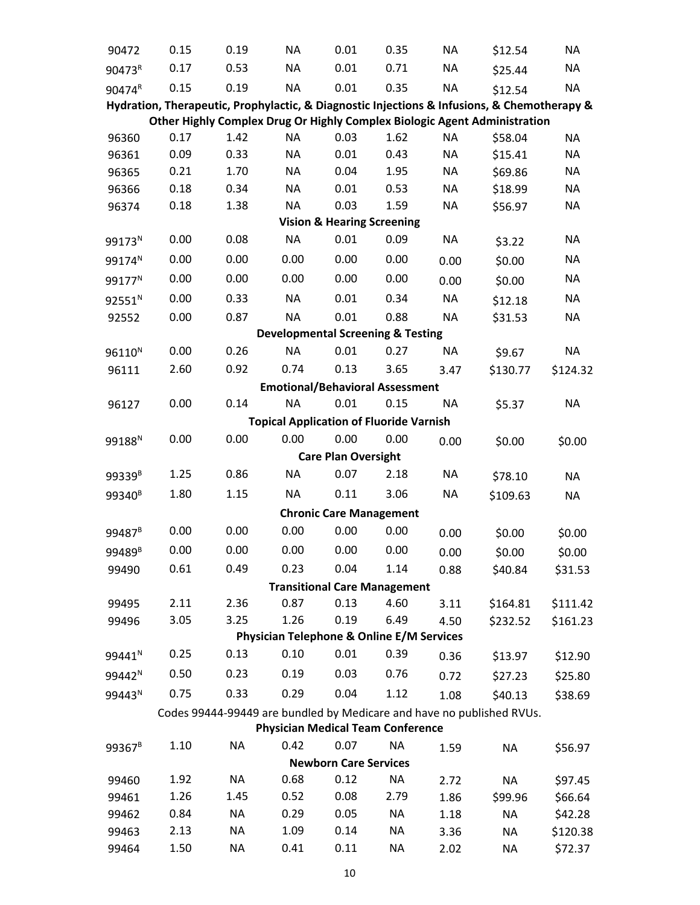| 90472              | 0.15 | 0.19      | <b>NA</b>                                            | 0.01                                  | 0.35                                | <b>NA</b> | \$12.54                                                                                     | <b>NA</b> |
|--------------------|------|-----------|------------------------------------------------------|---------------------------------------|-------------------------------------|-----------|---------------------------------------------------------------------------------------------|-----------|
| 90473R             | 0.17 | 0.53      | <b>NA</b>                                            | 0.01                                  | 0.71                                | <b>NA</b> | \$25.44                                                                                     | <b>NA</b> |
| 90474R             | 0.15 | 0.19      | <b>NA</b>                                            | 0.01                                  | 0.35                                | <b>NA</b> | \$12.54                                                                                     | <b>NA</b> |
|                    |      |           |                                                      |                                       |                                     |           | Hydration, Therapeutic, Prophylactic, & Diagnostic Injections & Infusions, & Chemotherapy & |           |
|                    |      |           |                                                      |                                       |                                     |           | Other Highly Complex Drug Or Highly Complex Biologic Agent Administration                   |           |
| 96360              | 0.17 | 1.42      | <b>NA</b>                                            | 0.03                                  | 1.62                                | <b>NA</b> | \$58.04                                                                                     | NA        |
| 96361              | 0.09 | 0.33      | <b>NA</b>                                            | 0.01                                  | 0.43                                | <b>NA</b> | \$15.41                                                                                     | <b>NA</b> |
| 96365              | 0.21 | 1.70      | <b>NA</b>                                            | 0.04                                  | 1.95                                | <b>NA</b> | \$69.86                                                                                     | <b>NA</b> |
| 96366              | 0.18 | 0.34      | <b>NA</b>                                            | 0.01                                  | 0.53                                | <b>NA</b> | \$18.99                                                                                     | <b>NA</b> |
| 96374              | 0.18 | 1.38      | <b>NA</b>                                            | 0.03                                  | 1.59                                | <b>NA</b> | \$56.97                                                                                     | NA        |
|                    |      |           |                                                      | <b>Vision &amp; Hearing Screening</b> |                                     |           |                                                                                             |           |
| 99173 <sup>N</sup> | 0.00 | 0.08      | <b>NA</b>                                            | 0.01                                  | 0.09                                | <b>NA</b> | \$3.22                                                                                      | <b>NA</b> |
| 99174 <sup>N</sup> | 0.00 | 0.00      | 0.00                                                 | 0.00                                  | 0.00                                | 0.00      | \$0.00                                                                                      | <b>NA</b> |
| 99177 <sup>N</sup> | 0.00 | 0.00      | 0.00                                                 | 0.00                                  | 0.00                                | 0.00      | \$0.00                                                                                      | <b>NA</b> |
| 92551 <sup>N</sup> | 0.00 | 0.33      | <b>NA</b>                                            | 0.01                                  | 0.34                                | <b>NA</b> | \$12.18                                                                                     | <b>NA</b> |
| 92552              | 0.00 | 0.87      | <b>NA</b>                                            | 0.01                                  | 0.88                                | <b>NA</b> | \$31.53                                                                                     | <b>NA</b> |
|                    |      |           | <b>Developmental Screening &amp; Testing</b>         |                                       |                                     |           |                                                                                             |           |
| 96110 <sup>N</sup> | 0.00 | 0.26      | <b>NA</b>                                            | 0.01                                  | 0.27                                | <b>NA</b> | \$9.67                                                                                      | <b>NA</b> |
| 96111              | 2.60 | 0.92      | 0.74                                                 | 0.13                                  | 3.65                                | 3.47      | \$130.77                                                                                    | \$124.32  |
|                    |      |           | <b>Emotional/Behavioral Assessment</b>               |                                       |                                     |           |                                                                                             |           |
| 96127              | 0.00 | 0.14      | <b>NA</b>                                            | 0.01                                  | 0.15                                | <b>NA</b> | \$5.37                                                                                      | <b>NA</b> |
|                    |      |           | <b>Topical Application of Fluoride Varnish</b>       |                                       |                                     |           |                                                                                             |           |
| 99188 <sup>N</sup> | 0.00 | 0.00      | 0.00                                                 | 0.00                                  | 0.00                                | 0.00      | \$0.00                                                                                      | \$0.00    |
|                    |      |           |                                                      | <b>Care Plan Oversight</b>            |                                     |           |                                                                                             |           |
| 99339 <sup>B</sup> | 1.25 | 0.86      | <b>NA</b>                                            | 0.07                                  | 2.18                                | <b>NA</b> | \$78.10                                                                                     | <b>NA</b> |
| 99340 <sup>B</sup> | 1.80 | 1.15      | <b>NA</b>                                            | 0.11                                  | 3.06                                | <b>NA</b> | \$109.63                                                                                    | <b>NA</b> |
|                    |      |           |                                                      | <b>Chronic Care Management</b>        |                                     |           |                                                                                             |           |
| 99487 <sup>B</sup> | 0.00 | 0.00      | 0.00                                                 | 0.00                                  | 0.00                                | 0.00      | \$0.00                                                                                      | \$0.00    |
| 99489 <sup>B</sup> | 0.00 | 0.00      | 0.00                                                 | 0.00                                  | 0.00                                | 0.00      | \$0.00                                                                                      | \$0.00    |
| 99490              | 0.61 | 0.49      | 0.23                                                 | 0.04                                  | 1.14                                | 0.88      | \$40.84                                                                                     | \$31.53   |
|                    |      |           |                                                      |                                       | <b>Transitional Care Management</b> |           |                                                                                             |           |
| 99495              | 2.11 | 2.36      | 0.87                                                 | 0.13                                  | 4.60                                | 3.11      | \$164.81                                                                                    | \$111.42  |
| 99496              | 3.05 | 3.25      | 1.26                                                 | 0.19                                  | 6.49                                | 4.50      | \$232.52                                                                                    | \$161.23  |
|                    |      |           | <b>Physician Telephone &amp; Online E/M Services</b> |                                       |                                     |           |                                                                                             |           |
| 99441 <sup>N</sup> | 0.25 | 0.13      | 0.10                                                 | 0.01                                  | 0.39                                | 0.36      | \$13.97                                                                                     | \$12.90   |
| 99442 <sup>N</sup> | 0.50 | 0.23      | 0.19                                                 | 0.03                                  | 0.76                                | 0.72      | \$27.23                                                                                     | \$25.80   |
| 99443 <sup>N</sup> | 0.75 | 0.33      | 0.29                                                 | 0.04                                  | 1.12                                | 1.08      | \$40.13                                                                                     | \$38.69   |
|                    |      |           |                                                      |                                       |                                     |           | Codes 99444-99449 are bundled by Medicare and have no published RVUs.                       |           |
|                    |      |           | <b>Physician Medical Team Conference</b>             |                                       |                                     |           |                                                                                             |           |
| 99367 <sup>B</sup> | 1.10 | <b>NA</b> | 0.42                                                 | 0.07                                  | <b>NA</b>                           | 1.59      | <b>NA</b>                                                                                   | \$56.97   |
|                    | 1.92 | <b>NA</b> | 0.68                                                 | <b>Newborn Care Services</b><br>0.12  | NA                                  |           |                                                                                             |           |
| 99460              | 1.26 | 1.45      |                                                      |                                       |                                     | 2.72      | <b>NA</b>                                                                                   | \$97.45   |
| 99461              | 0.84 | <b>NA</b> | 0.52<br>0.29                                         | 0.08<br>0.05                          | 2.79<br><b>NA</b>                   | 1.86      | \$99.96                                                                                     | \$66.64   |
| 99462              | 2.13 | <b>NA</b> | 1.09                                                 | 0.14                                  | <b>NA</b>                           | 1.18      | <b>NA</b>                                                                                   | \$42.28   |
| 99463              | 1.50 | <b>NA</b> | 0.41                                                 | 0.11                                  | NA                                  | 3.36      | <b>NA</b>                                                                                   | \$120.38  |
| 99464              |      |           |                                                      |                                       |                                     | 2.02      | <b>NA</b>                                                                                   | \$72.37   |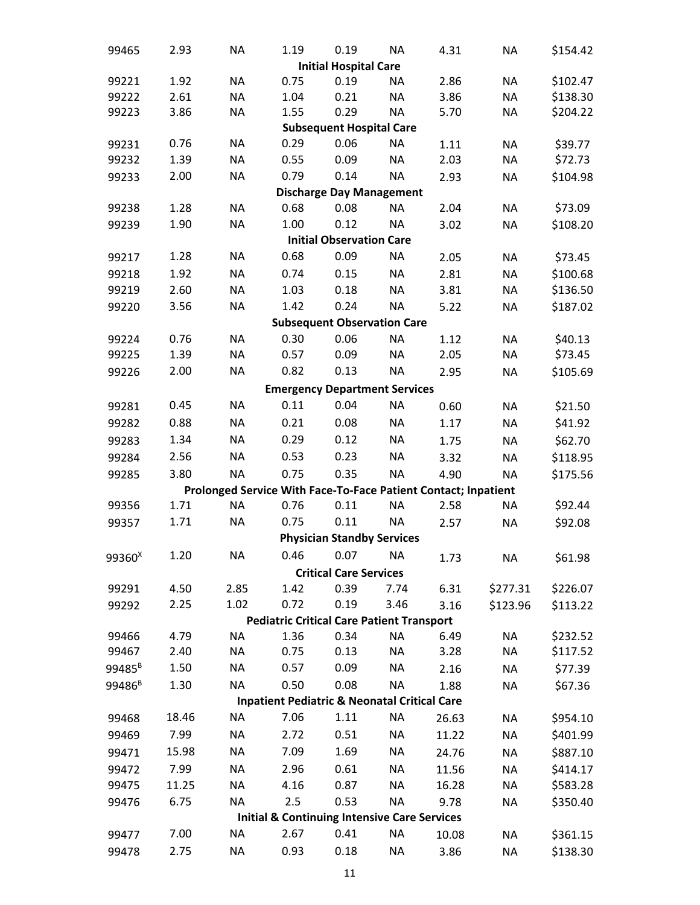| 99465              | 2.93  | <b>NA</b> | 1.19                                                           | 0.19                               | <b>NA</b> | 4.31  | <b>NA</b> | \$154.42 |
|--------------------|-------|-----------|----------------------------------------------------------------|------------------------------------|-----------|-------|-----------|----------|
|                    |       |           |                                                                | <b>Initial Hospital Care</b>       |           |       |           |          |
| 99221              | 1.92  | <b>NA</b> | 0.75                                                           | 0.19                               | <b>NA</b> | 2.86  | <b>NA</b> | \$102.47 |
| 99222              | 2.61  | <b>NA</b> | 1.04                                                           | 0.21                               | <b>NA</b> | 3.86  | <b>NA</b> | \$138.30 |
| 99223              | 3.86  | <b>NA</b> | 1.55                                                           | 0.29                               | <b>NA</b> | 5.70  | <b>NA</b> | \$204.22 |
|                    |       |           |                                                                | <b>Subsequent Hospital Care</b>    |           |       |           |          |
| 99231              | 0.76  | <b>NA</b> | 0.29                                                           | 0.06                               | <b>NA</b> | 1.11  | <b>NA</b> | \$39.77  |
| 99232              | 1.39  | <b>NA</b> | 0.55                                                           | 0.09                               | <b>NA</b> | 2.03  | <b>NA</b> | \$72.73  |
| 99233              | 2.00  | <b>NA</b> | 0.79                                                           | 0.14                               | <b>NA</b> | 2.93  | <b>NA</b> | \$104.98 |
|                    |       |           |                                                                | <b>Discharge Day Management</b>    |           |       |           |          |
| 99238              | 1.28  | <b>NA</b> | 0.68                                                           | 0.08                               | <b>NA</b> | 2.04  | <b>NA</b> | \$73.09  |
| 99239              | 1.90  | <b>NA</b> | 1.00                                                           | 0.12                               | <b>NA</b> | 3.02  | <b>NA</b> | \$108.20 |
|                    |       |           |                                                                | <b>Initial Observation Care</b>    |           |       |           |          |
| 99217              | 1.28  | <b>NA</b> | 0.68                                                           | 0.09                               | <b>NA</b> | 2.05  | <b>NA</b> | \$73.45  |
| 99218              | 1.92  | <b>NA</b> | 0.74                                                           | 0.15                               | <b>NA</b> | 2.81  | <b>NA</b> | \$100.68 |
| 99219              | 2.60  | <b>NA</b> | 1.03                                                           | 0.18                               | <b>NA</b> | 3.81  | <b>NA</b> | \$136.50 |
| 99220              | 3.56  | <b>NA</b> | 1.42                                                           | 0.24                               | <b>NA</b> | 5.22  | <b>NA</b> | \$187.02 |
|                    |       |           |                                                                | <b>Subsequent Observation Care</b> |           |       |           |          |
| 99224              | 0.76  | <b>NA</b> | 0.30                                                           | 0.06                               | <b>NA</b> | 1.12  | <b>NA</b> | \$40.13  |
| 99225              | 1.39  | <b>NA</b> | 0.57                                                           | 0.09                               | <b>NA</b> | 2.05  | <b>NA</b> | \$73.45  |
| 99226              | 2.00  | <b>NA</b> | 0.82                                                           | 0.13                               | <b>NA</b> | 2.95  | <b>NA</b> | \$105.69 |
|                    |       |           | <b>Emergency Department Services</b>                           |                                    |           |       |           |          |
| 99281              | 0.45  | <b>NA</b> | 0.11                                                           | 0.04                               | <b>NA</b> | 0.60  | <b>NA</b> | \$21.50  |
| 99282              | 0.88  | <b>NA</b> | 0.21                                                           | 0.08                               | <b>NA</b> | 1.17  | <b>NA</b> | \$41.92  |
| 99283              | 1.34  | <b>NA</b> | 0.29                                                           | 0.12                               | <b>NA</b> | 1.75  | <b>NA</b> | \$62.70  |
| 99284              | 2.56  | <b>NA</b> | 0.53                                                           | 0.23                               | <b>NA</b> | 3.32  | <b>NA</b> | \$118.95 |
| 99285              | 3.80  | <b>NA</b> | 0.75                                                           | 0.35                               | <b>NA</b> | 4.90  | <b>NA</b> | \$175.56 |
|                    |       |           | Prolonged Service With Face-To-Face Patient Contact; Inpatient |                                    |           |       |           |          |
| 99356              | 1.71  | <b>NA</b> | 0.76                                                           | 0.11                               | <b>NA</b> | 2.58  | <b>NA</b> | \$92.44  |
| 99357              | 1.71  | <b>NA</b> | 0.75                                                           | 0.11                               | <b>NA</b> | 2.57  | <b>NA</b> | \$92.08  |
|                    |       |           |                                                                | <b>Physician Standby Services</b>  |           |       |           |          |
|                    | 1.20  | <b>NA</b> |                                                                | 0.46  0.07  NA                     |           |       |           |          |
| 99360 <sup>x</sup> |       |           |                                                                |                                    |           | 1.73  | <b>NA</b> | \$61.98  |
|                    |       |           |                                                                | <b>Critical Care Services</b>      |           | 6.31  |           |          |
| 99291              | 4.50  | 2.85      | 1.42                                                           | 0.39                               | 7.74      |       | \$277.31  | \$226.07 |
| 99292              | 2.25  | 1.02      | 0.72                                                           | 0.19                               | 3.46      | 3.16  | \$123.96  | \$113.22 |
| 99466              | 4.79  | <b>NA</b> | <b>Pediatric Critical Care Patient Transport</b><br>1.36       | 0.34                               | <b>NA</b> | 6.49  | <b>NA</b> | \$232.52 |
| 99467              | 2.40  | <b>NA</b> | 0.75                                                           | 0.13                               | <b>NA</b> | 3.28  | <b>NA</b> | \$117.52 |
| 99485 <sup>B</sup> | 1.50  | <b>NA</b> | 0.57                                                           | 0.09                               | <b>NA</b> |       | <b>NA</b> | \$77.39  |
|                    |       | <b>NA</b> |                                                                | 0.08                               |           | 2.16  |           |          |
| 99486 <sup>B</sup> | 1.30  |           | 0.50                                                           |                                    | <b>NA</b> | 1.88  | <b>NA</b> | \$67.36  |
|                    |       |           | <b>Inpatient Pediatric &amp; Neonatal Critical Care</b>        |                                    |           |       |           |          |
| 99468              | 18.46 | <b>NA</b> | 7.06                                                           | 1.11                               | <b>NA</b> | 26.63 | <b>NA</b> | \$954.10 |
| 99469              | 7.99  | <b>NA</b> | 2.72                                                           | 0.51                               | <b>NA</b> | 11.22 | <b>NA</b> | \$401.99 |
| 99471              | 15.98 | <b>NA</b> | 7.09                                                           | 1.69                               | <b>NA</b> | 24.76 | <b>NA</b> | \$887.10 |
| 99472              | 7.99  | <b>NA</b> | 2.96                                                           | 0.61                               | <b>NA</b> | 11.56 | <b>NA</b> | \$414.17 |
| 99475              | 11.25 | <b>NA</b> | 4.16                                                           | 0.87                               | <b>NA</b> | 16.28 | <b>NA</b> | \$583.28 |
| 99476              | 6.75  | <b>NA</b> | 2.5                                                            | 0.53                               | <b>NA</b> | 9.78  | <b>NA</b> | \$350.40 |
|                    |       |           | <b>Initial &amp; Continuing Intensive Care Services</b>        |                                    |           |       |           |          |
| 99477              | 7.00  | <b>NA</b> | 2.67                                                           | 0.41                               | <b>NA</b> | 10.08 | <b>NA</b> | \$361.15 |
| 99478              | 2.75  | <b>NA</b> | 0.93                                                           | 0.18                               | <b>NA</b> | 3.86  | <b>NA</b> | \$138.30 |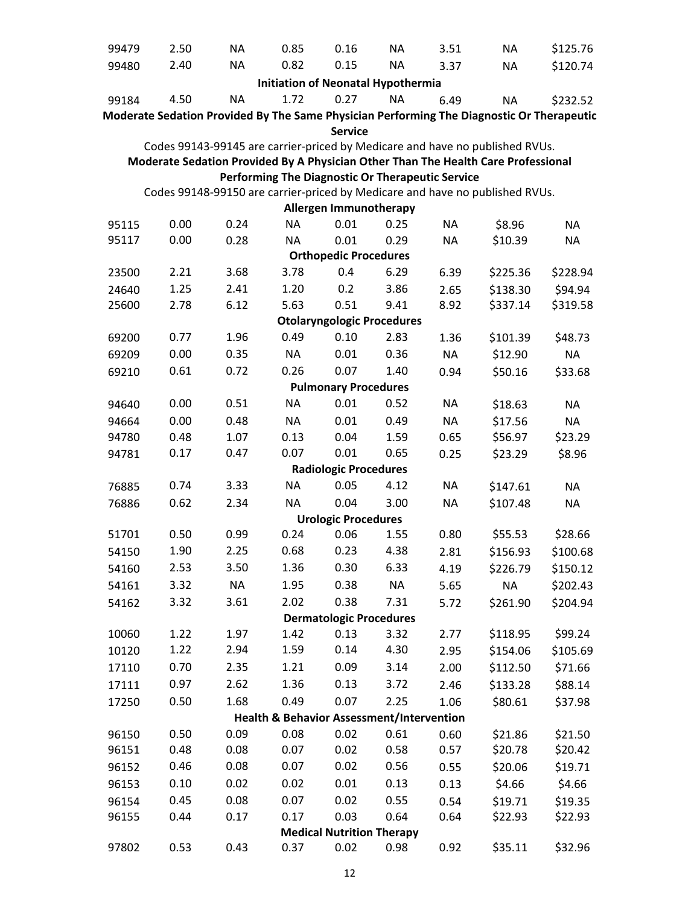| 99479 | 2.50 | <b>NA</b> | 0.85                                                 | 0.16                                 | <b>NA</b>                         | 3.51         | <b>NA</b>                                                                                 | \$125.76  |
|-------|------|-----------|------------------------------------------------------|--------------------------------------|-----------------------------------|--------------|-------------------------------------------------------------------------------------------|-----------|
| 99480 | 2.40 | <b>NA</b> | 0.82                                                 | 0.15                                 | <b>NA</b>                         | 3.37         | <b>NA</b>                                                                                 | \$120.74  |
|       |      |           | <b>Initiation of Neonatal Hypothermia</b>            |                                      |                                   |              |                                                                                           |           |
| 99184 | 4.50 | <b>NA</b> | 1.72                                                 | 0.27                                 | <b>NA</b>                         | 6.49         | <b>NA</b>                                                                                 | \$232.52  |
|       |      |           |                                                      |                                      |                                   |              | Moderate Sedation Provided By The Same Physician Performing The Diagnostic Or Therapeutic |           |
|       |      |           |                                                      | <b>Service</b>                       |                                   |              |                                                                                           |           |
|       |      |           |                                                      |                                      |                                   |              | Codes 99143-99145 are carrier-priced by Medicare and have no published RVUs.              |           |
|       |      |           |                                                      |                                      |                                   |              | Moderate Sedation Provided By A Physician Other Than The Health Care Professional         |           |
|       |      |           | Performing The Diagnostic Or Therapeutic Service     |                                      |                                   |              |                                                                                           |           |
|       |      |           |                                                      |                                      |                                   |              | Codes 99148-99150 are carrier-priced by Medicare and have no published RVUs.              |           |
|       |      |           |                                                      | <b>Allergen Immunotherapy</b>        |                                   |              |                                                                                           |           |
| 95115 | 0.00 | 0.24      | <b>NA</b>                                            | 0.01                                 | 0.25                              | <b>NA</b>    | \$8.96                                                                                    | <b>NA</b> |
| 95117 | 0.00 | 0.28      | NA.                                                  | 0.01<br><b>Orthopedic Procedures</b> | 0.29                              | <b>NA</b>    | \$10.39                                                                                   | <b>NA</b> |
|       | 2.21 | 3.68      | 3.78                                                 | 0.4                                  | 6.29                              |              | \$225.36                                                                                  |           |
| 23500 | 1.25 | 2.41      |                                                      |                                      | 3.86                              | 6.39         |                                                                                           | \$228.94  |
| 24640 | 2.78 | 6.12      | 1.20<br>5.63                                         | 0.2<br>0.51                          | 9.41                              | 2.65<br>8.92 | \$138.30<br>\$337.14                                                                      | \$94.94   |
| 25600 |      |           |                                                      |                                      | <b>Otolaryngologic Procedures</b> |              |                                                                                           | \$319.58  |
| 69200 | 0.77 | 1.96      | 0.49                                                 | 0.10                                 | 2.83                              | 1.36         | \$101.39                                                                                  | \$48.73   |
| 69209 | 0.00 | 0.35      | <b>NA</b>                                            | 0.01                                 | 0.36                              | <b>NA</b>    | \$12.90                                                                                   | <b>NA</b> |
| 69210 | 0.61 | 0.72      | 0.26                                                 | 0.07                                 | 1.40                              | 0.94         | \$50.16                                                                                   | \$33.68   |
|       |      |           |                                                      | <b>Pulmonary Procedures</b>          |                                   |              |                                                                                           |           |
| 94640 | 0.00 | 0.51      | <b>NA</b>                                            | 0.01                                 | 0.52                              | <b>NA</b>    | \$18.63                                                                                   | <b>NA</b> |
| 94664 | 0.00 | 0.48      | <b>NA</b>                                            | 0.01                                 | 0.49                              | <b>NA</b>    | \$17.56                                                                                   | <b>NA</b> |
| 94780 | 0.48 | 1.07      | 0.13                                                 | 0.04                                 | 1.59                              | 0.65         | \$56.97                                                                                   | \$23.29   |
| 94781 | 0.17 | 0.47      | 0.07                                                 | 0.01                                 | 0.65                              | 0.25         | \$23.29                                                                                   | \$8.96    |
|       |      |           |                                                      | <b>Radiologic Procedures</b>         |                                   |              |                                                                                           |           |
| 76885 | 0.74 | 3.33      | <b>NA</b>                                            | 0.05                                 | 4.12                              | <b>NA</b>    | \$147.61                                                                                  | <b>NA</b> |
| 76886 | 0.62 | 2.34      | <b>NA</b>                                            | 0.04                                 | 3.00                              | <b>NA</b>    | \$107.48                                                                                  | <b>NA</b> |
|       |      |           |                                                      | <b>Urologic Procedures</b>           |                                   |              |                                                                                           |           |
| 51701 | 0.50 | 0.99      | 0.24                                                 | 0.06                                 | 1.55                              | 0.80         | \$55.53                                                                                   | \$28.66   |
| 54150 | 1.90 | 2.25      | 0.68                                                 | 0.23                                 | 4.38                              | 2.81         | \$156.93                                                                                  | \$100.68  |
| 54160 | 2.53 | 3.50      | 1.36                                                 | 0.30                                 | 6.33                              | 4.19         | \$226.79                                                                                  | \$150.12  |
| 54161 | 3.32 | <b>NA</b> | 1.95                                                 | 0.38                                 | <b>NA</b>                         | 5.65         | <b>NA</b>                                                                                 | \$202.43  |
| 54162 | 3.32 | 3.61      | 2.02                                                 | 0.38                                 | 7.31                              | 5.72         | \$261.90                                                                                  | \$204.94  |
|       |      |           |                                                      | <b>Dermatologic Procedures</b>       |                                   |              |                                                                                           |           |
| 10060 | 1.22 | 1.97      | 1.42                                                 | 0.13                                 | 3.32                              | 2.77         | \$118.95                                                                                  | \$99.24   |
| 10120 | 1.22 | 2.94      | 1.59                                                 | 0.14                                 | 4.30                              | 2.95         | \$154.06                                                                                  | \$105.69  |
| 17110 | 0.70 | 2.35      | 1.21                                                 | 0.09                                 | 3.14                              | 2.00         | \$112.50                                                                                  | \$71.66   |
| 17111 | 0.97 | 2.62      | 1.36                                                 | 0.13                                 | 3.72                              | 2.46         | \$133.28                                                                                  | \$88.14   |
| 17250 | 0.50 | 1.68      | 0.49                                                 | 0.07                                 | 2.25                              | 1.06         | \$80.61                                                                                   | \$37.98   |
|       |      |           | <b>Health &amp; Behavior Assessment/Intervention</b> |                                      |                                   |              |                                                                                           |           |
| 96150 | 0.50 | 0.09      | 0.08                                                 | 0.02                                 | 0.61                              | 0.60         | \$21.86                                                                                   | \$21.50   |
| 96151 | 0.48 | 0.08      | 0.07                                                 | 0.02                                 | 0.58                              | 0.57         | \$20.78                                                                                   | \$20.42   |
| 96152 | 0.46 | 0.08      | 0.07                                                 | 0.02                                 | 0.56                              | 0.55         | \$20.06                                                                                   | \$19.71   |
| 96153 | 0.10 | 0.02      | 0.02                                                 | 0.01                                 | 0.13                              | 0.13         | \$4.66                                                                                    | \$4.66    |
| 96154 | 0.45 | 0.08      | 0.07                                                 | 0.02                                 | 0.55                              | 0.54         | \$19.71                                                                                   | \$19.35   |
| 96155 | 0.44 | 0.17      | 0.17                                                 | 0.03                                 | 0.64                              | 0.64         | \$22.93                                                                                   | \$22.93   |
|       |      |           |                                                      | <b>Medical Nutrition Therapy</b>     |                                   |              |                                                                                           |           |
| 97802 | 0.53 | 0.43      | 0.37                                                 | 0.02                                 | 0.98                              | 0.92         | \$35.11                                                                                   | \$32.96   |